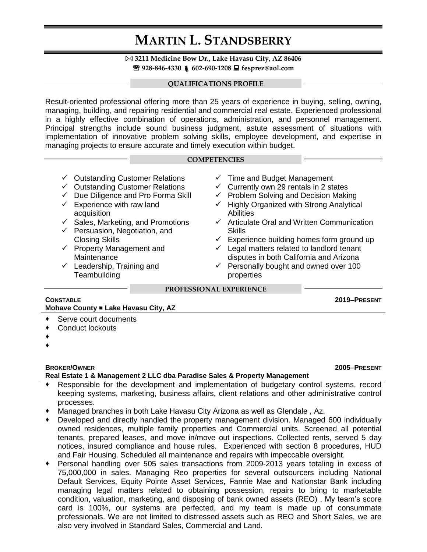# **MARTIN L. STANDSBERRY**

### **3211 Medicine Bow Dr., Lake Havasu City, AZ 86406 928-846-4330 602-690-1208 fesprez@aol.com**

#### **QUALIFICATIONS PROFILE**

Result-oriented professional offering more than 25 years of experience in buying, selling, owning, managing, building, and repairing residential and commercial real estate. Experienced professional in a highly effective combination of operations, administration, and personnel management. Principal strengths include sound business judgment, astute assessment of situations with implementation of innovative problem solving skills, employee development, and expertise in managing projects to ensure accurate and timely execution within budget.

#### **COMPETENCIES**

- $\checkmark$  Outstanding Customer Relations
- $\checkmark$  Outstanding Customer Relations
- $\checkmark$  Due Diligence and Pro Forma Skill
- $\checkmark$  Experience with raw land acquisition
- $\checkmark$  Sales, Marketing, and Promotions
- $\checkmark$  Persuasion, Negotiation, and Closing Skills
- $\checkmark$  Property Management and **Maintenance**
- $\checkmark$  Leadership, Training and **Teambuilding**
- $\checkmark$  Time and Budget Management
- $\checkmark$  Currently own 29 rentals in 2 states
- $\checkmark$  Problem Solving and Decision Making
- $\checkmark$  Highly Organized with Strong Analytical **Abilities**
- $\checkmark$  Articulate Oral and Written Communication **Skills**
- $\checkmark$  Experience building homes form ground up
- $\checkmark$  Legal matters related to landlord tenant disputes in both California and Arizona
- $\checkmark$  Personally bought and owned over 100 properties

#### **PROFESSIONAL EXPERIENCE**

### **CONSTABLE 2019–PRESENT Mohave County ■ Lake Havasu City, AZ**

- Serve court documents
- Conduct lockouts
- $\blacklozenge$
- $\blacklozenge$

#### **BROKER/OWNER 2005–PRESENT Real Estate 1 & Management 2 LLC dba Paradise Sales & Property Management**

- Responsible for the development and implementation of budgetary control systems, record keeping systems, marketing, business affairs, client relations and other administrative control processes.
- Managed branches in both Lake Havasu City Arizona as well as Glendale , Az.
- Developed and directly handled the property management division. Managed 600 individually owned residences, multiple family properties and Commercial units. Screened all potential tenants, prepared leases, and move in/move out inspections. Collected rents, served 5 day notices, insured compliance and house rules. Experienced with section 8 procedures, HUD and Fair Housing. Scheduled all maintenance and repairs with impeccable oversight.
- Personal handling over 505 sales transactions from 2009-2013 years totaling in excess of 75,000,000 in sales. Managing Reo properties for several outsourcers including National Default Services, Equity Pointe Asset Services, Fannie Mae and Nationstar Bank including managing legal matters related to obtaining possession, repairs to bring to marketable condition, valuation, marketing, and disposing of bank owned assets (REO) . My team's score card is 100%, our systems are perfected, and my team is made up of consummate professionals. We are not limited to distressed assets such as REO and Short Sales, we are also very involved in Standard Sales, Commercial and Land.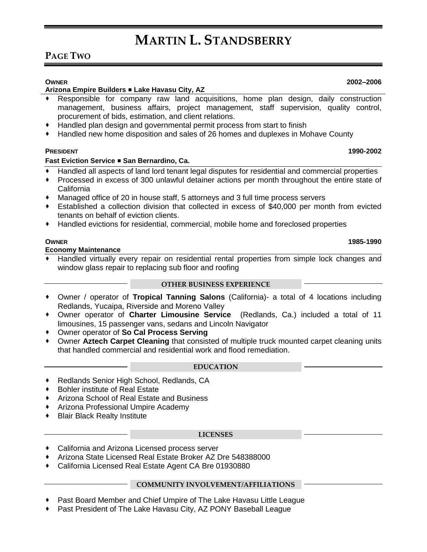# **MARTIN L. STANDSBERRY**

## **PAGE TWO**

#### **Arizona Empire Builders Lake Havasu City, AZ**

- Responsible for company raw land acquisitions, home plan design, daily construction management, business affairs, project management, staff supervision, quality control, procurement of bids, estimation, and client relations.
- Handled plan design and governmental permit process from start to finish
- Handled new home disposition and sales of 26 homes and duplexes in Mohave County

### **PRESIDENT 1990-2002**

### **Fast Eviction Service San Bernardino, Ca.**

- Handled all aspects of land lord tenant legal disputes for residential and commercial properties
- Processed in excess of 300 unlawful detainer actions per month throughout the entire state of California
- Managed office of 20 in house staff, 5 attorneys and 3 full time process servers
- Established a collection division that collected in excess of \$40,000 per month from evicted tenants on behalf of eviction clients.
- Handled evictions for residential, commercial, mobile home and foreclosed properties

#### **Economy Maintenance**

 Handled virtually every repair on residential rental properties from simple lock changes and window glass repair to replacing sub floor and roofing

#### **OTHER BUSINESS EXPERIENCE**

- Owner / operator of **Tropical Tanning Salons** (California)- a total of 4 locations including Redlands, Yucaipa, Riverside and Moreno Valley
- Owner operator of **Charter Limousine Service** (Redlands, Ca.) included a total of 11 limousines, 15 passenger vans, sedans and Lincoln Navigator
- Owner operator of **So Cal Process Serving**
- Owner **Aztech Carpet Cleaning** that consisted of multiple truck mounted carpet cleaning units that handled commercial and residential work and flood remediation.

#### **EDUCATION**

- ◆ Redlands Senior High School, Redlands, CA
- Bohler institute of Real Estate
- Arizona School of Real Estate and Business
- Arizona Professional Umpire Academy
- Blair Black Realty Institute

#### **LICENSES**

- California and Arizona Licensed process server
- Arizona State Licensed Real Estate Broker AZ Dre 548388000
- California Licensed Real Estate Agent CA Bre 01930880

#### **COMMUNITY INVOLVEMENT/AFFILIATIONS**

- Past Board Member and Chief Umpire of The Lake Havasu Little League
- Past President of The Lake Havasu City, AZ PONY Baseball League

#### **OWNER 2002–2006**

**OWNER 1985-1990**